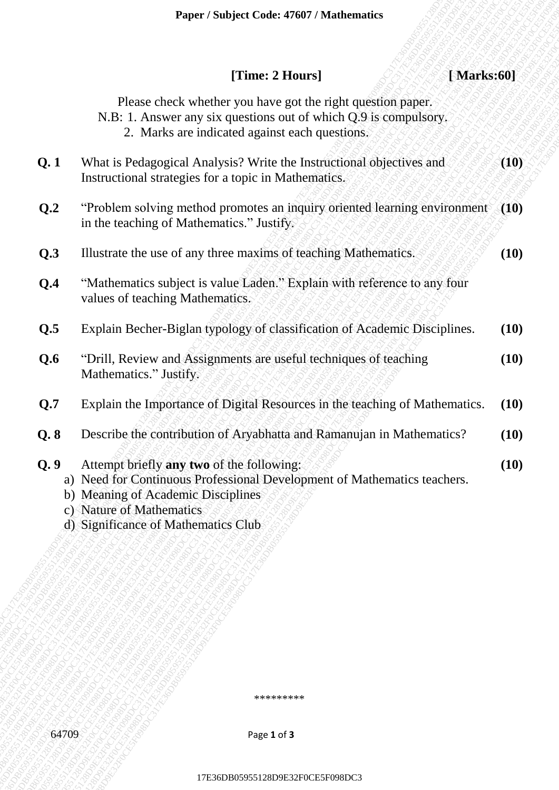|                | Paper / Subject Code: 47607 / Mathematics                                                                                                                                                                                      |      |
|----------------|--------------------------------------------------------------------------------------------------------------------------------------------------------------------------------------------------------------------------------|------|
|                | [Time: 2 Hours]<br>[Marks:60]                                                                                                                                                                                                  |      |
|                | Please check whether you have got the right question paper.<br>N.B: 1. Answer any six questions out of which Q.9 is compulsory.<br>2. Marks are indicated against each questions.                                              |      |
| Q.1            | What is Pedagogical Analysis? Write the Instructional objectives and<br>Instructional strategies for a topic in Mathematics.                                                                                                   | (10) |
| Q <sub>2</sub> | "Problem solving method promotes an inquiry oriented learning environment"<br>in the teaching of Mathematics." Justify.                                                                                                        | (10) |
| Q.3            | Illustrate the use of any three maxims of teaching Mathematics.                                                                                                                                                                | (10) |
| Q.4            | "Mathematics subject is value Laden." Explain with reference to any four<br>values of teaching Mathematics.                                                                                                                    |      |
| Q.5            | Explain Becher-Biglan typology of classification of Academic Disciplines.                                                                                                                                                      | (10) |
| Q.6            | "Drill, Review and Assignments are useful techniques of teaching<br>Mathematics." Justify.                                                                                                                                     | (10) |
| Q.7            | Explain the Importance of Digital Resources in the teaching of Mathematics.                                                                                                                                                    | (10) |
| Q.8            | Describe the contribution of Aryabhatta and Ramanujan in Mathematics?                                                                                                                                                          | (10) |
| Q.9            | Attempt briefly any two of the following:<br>a) Need for Continuous Professional Development of Mathematics teachers.<br>b) Meaning of Academic Disciplines<br>c) Nature of Mathematics<br>d) Significance of Mathematics Club | (10) |
|                | *********                                                                                                                                                                                                                      |      |
| 64709          | Page 1 of 3                                                                                                                                                                                                                    |      |
|                | 17E36DB05955128D9E32F0CE5F098DC3                                                                                                                                                                                               |      |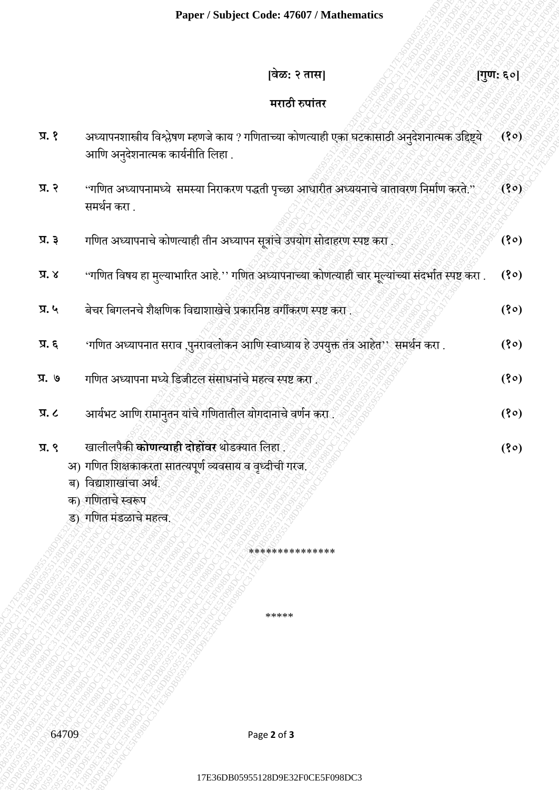## **[वेळ: २ तास] [गुण: ६०]**

## **मराठी रुपाांतर**

|                                 | Paper / Subject Code: 47607 / Mathematics                                                                                                                                            |           |
|---------------------------------|--------------------------------------------------------------------------------------------------------------------------------------------------------------------------------------|-----------|
|                                 | वेळ: २ तास]                                                                                                                                                                          | [गुण: ६०] |
|                                 | मराठी रुपांतर                                                                                                                                                                        |           |
| $\mathfrak{g}, \mathfrak{g}$    | अध्यापनशास्त्रीय विश्लेषण म्हणजे काय ? गणिताच्या कोणत्याही एका घटकासाठी अनुदेशनात्मक उद्दिष्ट्ये<br>आणि अनुदेशनात्मक कार्यनीति लिहा .                                                | (80)      |
| प्र. २                          | ''गणित अध्यापनामध्ये  समस्या निराकरण पद्धती पृच्छा आधारीत अध्ययनाचे वातावरण निर्माण करते.''<br>समर्थन करा .                                                                          | (30)      |
| $\overline{A}$ $\overline{B}$   | गणित अध्यापनाचे कोणत्याही तीन अध्यापन सूत्रांचे उपयोग सोदाहरण स्पष्ट करा                                                                                                             | (30)      |
| x, x                            | 'गणित विषय हा मुल्याभारित आहे.'' गणित अध्यापनाच्या कोणत्याही चार मूल्यांच्या संदर्भात स्पष्ट करा .                                                                                   | (30)      |
| प्र. ५                          | बेचर बिगलनचे शैक्षणिक विद्याशाखेचे प्रकारनिष्ठ वर्गीकरण स्पष्ट करा                                                                                                                   | (30)      |
| $\overline{a}$ .                | 'गणित अध्यापनात सराव ,पुनरावलोकन आणि स्वाध्याय हे उपयुक्त तंत्र आहेत'' समर्थन करा .                                                                                                  | (30)      |
| प्र. ७                          | गणित अध्यापना मध्ये डिजीटल संसाधनांचे महत्व स्पष्ट करा.                                                                                                                              | (30)      |
| $\overline{A}$ .                | आर्यभट आणि रामानुतन यांचे गणितातील योगदानाचे वर्णन करा.                                                                                                                              | (30)      |
| $\mathfrak{A}$ . $\mathfrak{C}$ | खालीलपैकी <b>कोणत्याही दोहोंवर</b> थोडक्यात लिहा<br>अ) गणित शिक्षकाकरता सातत्यपूर्ण व्यवसाय व वृध्दीची गरज.<br>ब) विद्याशाखांचा अर्थ.<br>क) गणिताचे स्वरूप<br>ड) गणित मंडळाचे महत्व. | (30)      |
|                                 | ***************                                                                                                                                                                      |           |
|                                 |                                                                                                                                                                                      |           |
|                                 | *****                                                                                                                                                                                |           |
|                                 |                                                                                                                                                                                      |           |
| 64709                           | Page 2 of 3                                                                                                                                                                          |           |
|                                 | 17E36DB05955128D9E32F0CE5F098DC3                                                                                                                                                     |           |